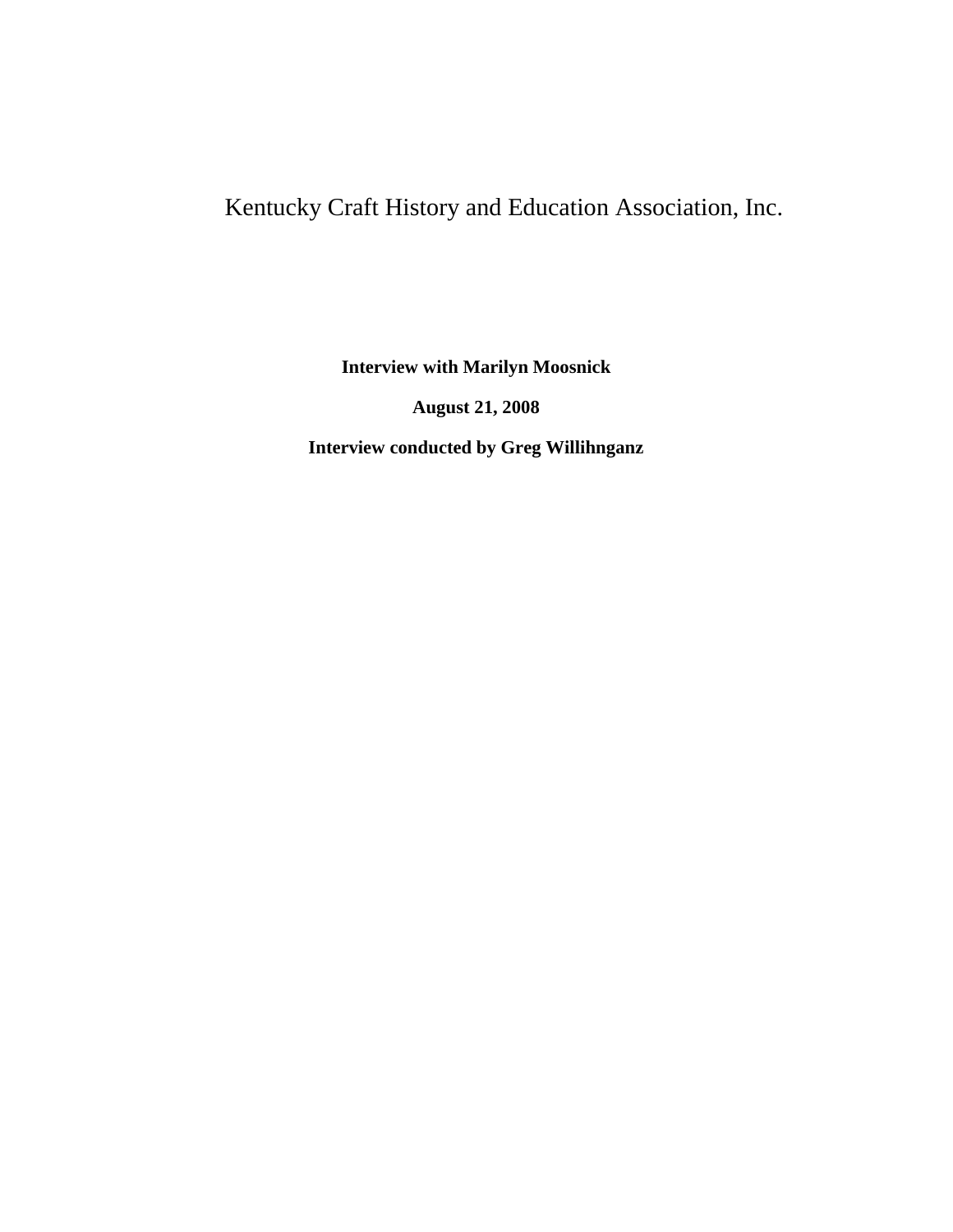## Kentucky Craft History and Education Association, Inc.

**Interview with Marilyn Moosnick**

**August 21, 2008**

**Interview conducted by Greg Willihnganz**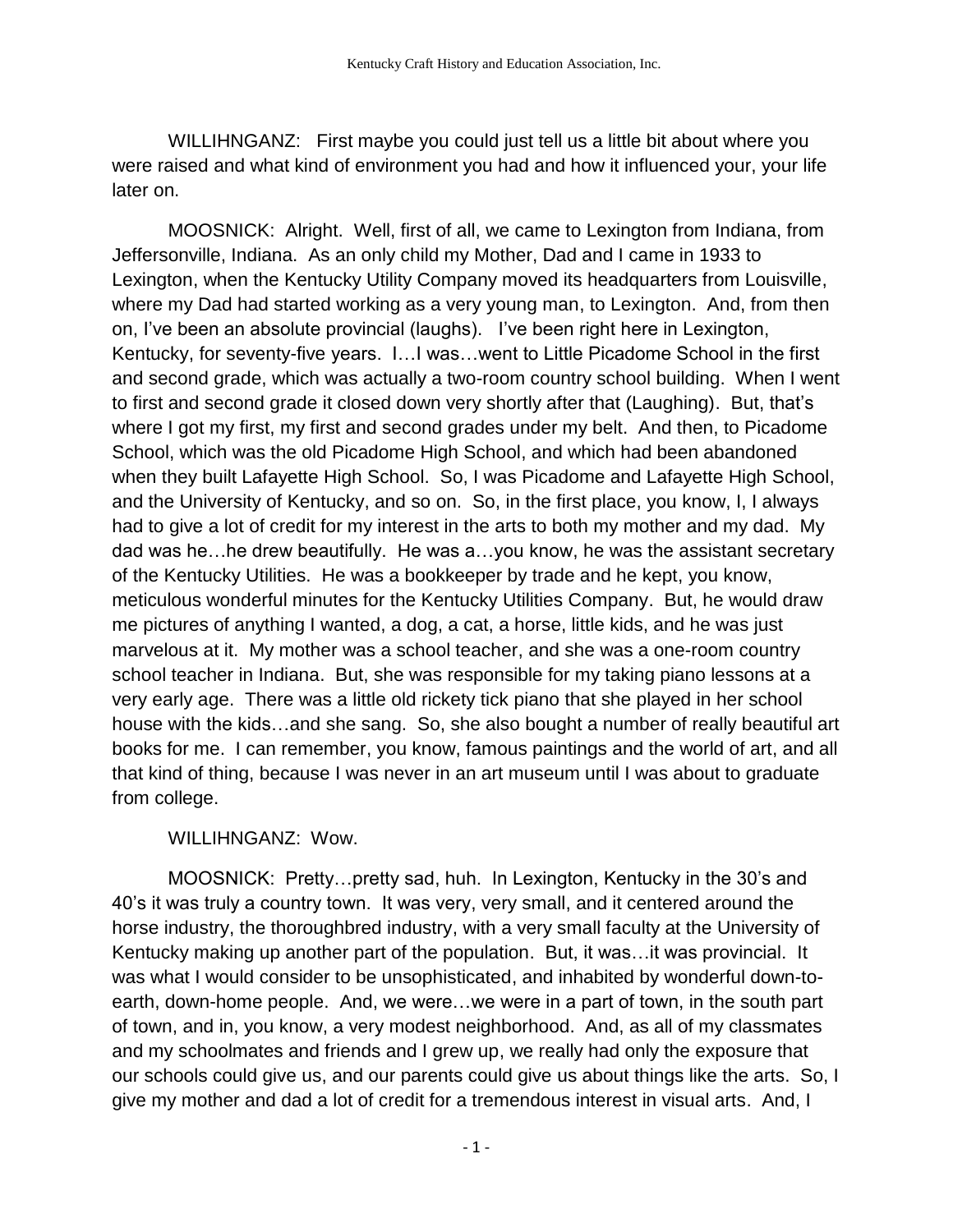WILLIHNGANZ: First maybe you could just tell us a little bit about where you were raised and what kind of environment you had and how it influenced your, your life later on.

MOOSNICK: Alright. Well, first of all, we came to Lexington from Indiana, from Jeffersonville, Indiana. As an only child my Mother, Dad and I came in 1933 to Lexington, when the Kentucky Utility Company moved its headquarters from Louisville, where my Dad had started working as a very young man, to Lexington. And, from then on, I've been an absolute provincial (laughs). I've been right here in Lexington, Kentucky, for seventy-five years. I…I was…went to Little Picadome School in the first and second grade, which was actually a two-room country school building. When I went to first and second grade it closed down very shortly after that (Laughing). But, that's where I got my first, my first and second grades under my belt. And then, to Picadome School, which was the old Picadome High School, and which had been abandoned when they built Lafayette High School. So, I was Picadome and Lafayette High School, and the University of Kentucky, and so on. So, in the first place, you know, I, I always had to give a lot of credit for my interest in the arts to both my mother and my dad. My dad was he…he drew beautifully. He was a…you know, he was the assistant secretary of the Kentucky Utilities. He was a bookkeeper by trade and he kept, you know, meticulous wonderful minutes for the Kentucky Utilities Company. But, he would draw me pictures of anything I wanted, a dog, a cat, a horse, little kids, and he was just marvelous at it. My mother was a school teacher, and she was a one-room country school teacher in Indiana. But, she was responsible for my taking piano lessons at a very early age. There was a little old rickety tick piano that she played in her school house with the kids…and she sang. So, she also bought a number of really beautiful art books for me. I can remember, you know, famous paintings and the world of art, and all that kind of thing, because I was never in an art museum until I was about to graduate from college.

## WILLIHNGANZ: Wow.

MOOSNICK: Pretty…pretty sad, huh. In Lexington, Kentucky in the 30's and 40's it was truly a country town. It was very, very small, and it centered around the horse industry, the thoroughbred industry, with a very small faculty at the University of Kentucky making up another part of the population. But, it was…it was provincial. It was what I would consider to be unsophisticated, and inhabited by wonderful down-toearth, down-home people. And, we were…we were in a part of town, in the south part of town, and in, you know, a very modest neighborhood. And, as all of my classmates and my schoolmates and friends and I grew up, we really had only the exposure that our schools could give us, and our parents could give us about things like the arts. So, I give my mother and dad a lot of credit for a tremendous interest in visual arts. And, I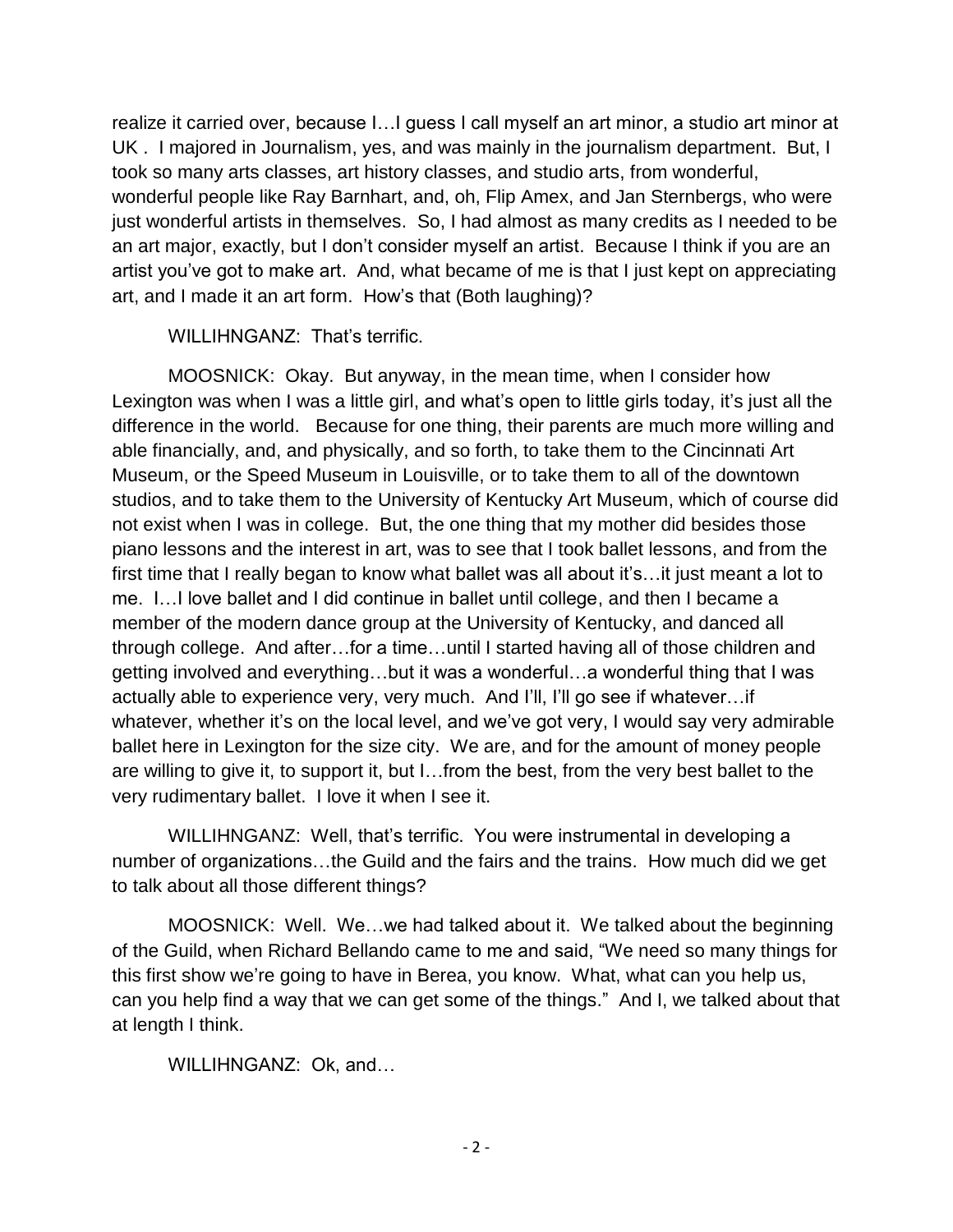realize it carried over, because I…I guess I call myself an art minor, a studio art minor at UK . I majored in Journalism, yes, and was mainly in the journalism department. But, I took so many arts classes, art history classes, and studio arts, from wonderful, wonderful people like Ray Barnhart, and, oh, Flip Amex, and Jan Sternbergs, who were just wonderful artists in themselves. So, I had almost as many credits as I needed to be an art major, exactly, but I don't consider myself an artist. Because I think if you are an artist you've got to make art. And, what became of me is that I just kept on appreciating art, and I made it an art form. How's that (Both laughing)?

## WILLIHNGANZ: That's terrific.

MOOSNICK: Okay. But anyway, in the mean time, when I consider how Lexington was when I was a little girl, and what's open to little girls today, it's just all the difference in the world. Because for one thing, their parents are much more willing and able financially, and, and physically, and so forth, to take them to the Cincinnati Art Museum, or the Speed Museum in Louisville, or to take them to all of the downtown studios, and to take them to the University of Kentucky Art Museum, which of course did not exist when I was in college. But, the one thing that my mother did besides those piano lessons and the interest in art, was to see that I took ballet lessons, and from the first time that I really began to know what ballet was all about it's…it just meant a lot to me. I…I love ballet and I did continue in ballet until college, and then I became a member of the modern dance group at the University of Kentucky, and danced all through college. And after…for a time…until I started having all of those children and getting involved and everything…but it was a wonderful…a wonderful thing that I was actually able to experience very, very much. And I'll, I'll go see if whatever…if whatever, whether it's on the local level, and we've got very, I would say very admirable ballet here in Lexington for the size city. We are, and for the amount of money people are willing to give it, to support it, but I…from the best, from the very best ballet to the very rudimentary ballet. I love it when I see it.

WILLIHNGANZ: Well, that's terrific. You were instrumental in developing a number of organizations…the Guild and the fairs and the trains. How much did we get to talk about all those different things?

MOOSNICK: Well. We…we had talked about it. We talked about the beginning of the Guild, when Richard Bellando came to me and said, "We need so many things for this first show we're going to have in Berea, you know. What, what can you help us, can you help find a way that we can get some of the things." And I, we talked about that at length I think.

WILLIHNGANZ: Ok, and…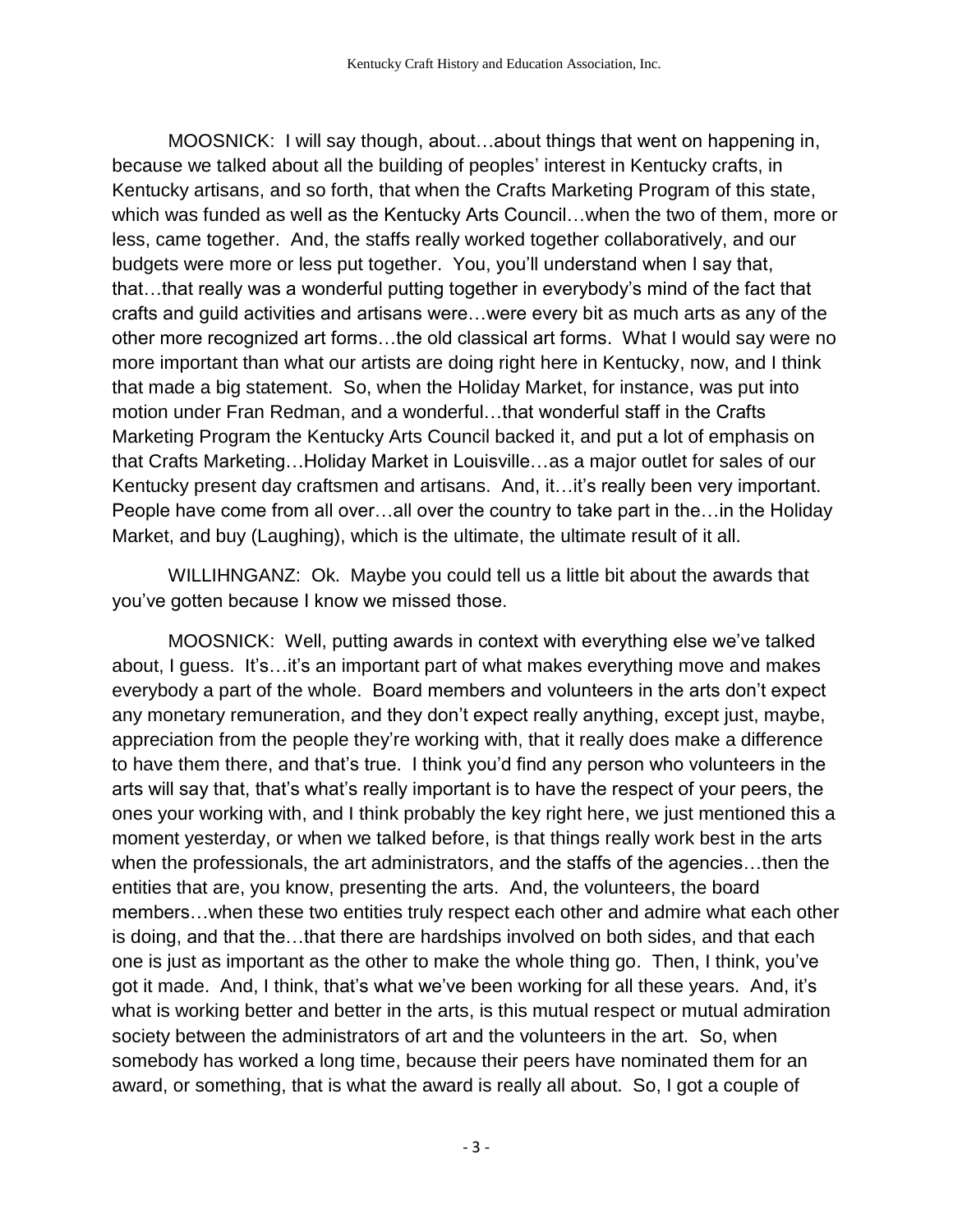MOOSNICK: I will say though, about…about things that went on happening in, because we talked about all the building of peoples' interest in Kentucky crafts, in Kentucky artisans, and so forth, that when the Crafts Marketing Program of this state, which was funded as well as the Kentucky Arts Council…when the two of them, more or less, came together. And, the staffs really worked together collaboratively, and our budgets were more or less put together. You, you'll understand when I say that, that…that really was a wonderful putting together in everybody's mind of the fact that crafts and guild activities and artisans were…were every bit as much arts as any of the other more recognized art forms…the old classical art forms. What I would say were no more important than what our artists are doing right here in Kentucky, now, and I think that made a big statement. So, when the Holiday Market, for instance, was put into motion under Fran Redman, and a wonderful…that wonderful staff in the Crafts Marketing Program the Kentucky Arts Council backed it, and put a lot of emphasis on that Crafts Marketing…Holiday Market in Louisville…as a major outlet for sales of our Kentucky present day craftsmen and artisans. And, it…it's really been very important. People have come from all over…all over the country to take part in the…in the Holiday Market, and buy (Laughing), which is the ultimate, the ultimate result of it all.

WILLIHNGANZ: Ok. Maybe you could tell us a little bit about the awards that you've gotten because I know we missed those.

MOOSNICK: Well, putting awards in context with everything else we've talked about, I guess. It's…it's an important part of what makes everything move and makes everybody a part of the whole. Board members and volunteers in the arts don't expect any monetary remuneration, and they don't expect really anything, except just, maybe, appreciation from the people they're working with, that it really does make a difference to have them there, and that's true. I think you'd find any person who volunteers in the arts will say that, that's what's really important is to have the respect of your peers, the ones your working with, and I think probably the key right here, we just mentioned this a moment yesterday, or when we talked before, is that things really work best in the arts when the professionals, the art administrators, and the staffs of the agencies…then the entities that are, you know, presenting the arts. And, the volunteers, the board members…when these two entities truly respect each other and admire what each other is doing, and that the…that there are hardships involved on both sides, and that each one is just as important as the other to make the whole thing go. Then, I think, you've got it made. And, I think, that's what we've been working for all these years. And, it's what is working better and better in the arts, is this mutual respect or mutual admiration society between the administrators of art and the volunteers in the art. So, when somebody has worked a long time, because their peers have nominated them for an award, or something, that is what the award is really all about. So, I got a couple of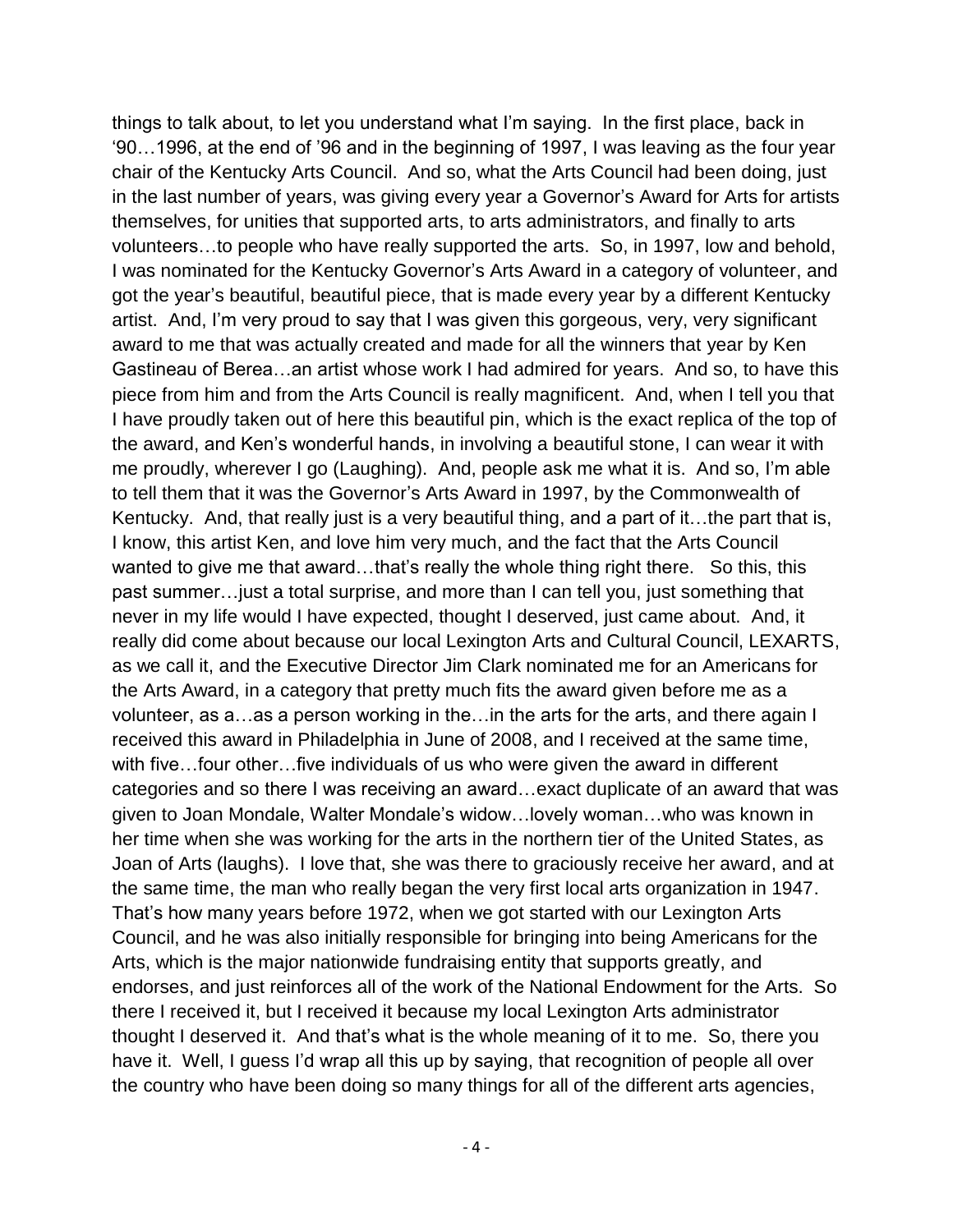things to talk about, to let you understand what I'm saying. In the first place, back in '90…1996, at the end of '96 and in the beginning of 1997, I was leaving as the four year chair of the Kentucky Arts Council. And so, what the Arts Council had been doing, just in the last number of years, was giving every year a Governor's Award for Arts for artists themselves, for unities that supported arts, to arts administrators, and finally to arts volunteers…to people who have really supported the arts. So, in 1997, low and behold, I was nominated for the Kentucky Governor's Arts Award in a category of volunteer, and got the year's beautiful, beautiful piece, that is made every year by a different Kentucky artist. And, I'm very proud to say that I was given this gorgeous, very, very significant award to me that was actually created and made for all the winners that year by Ken Gastineau of Berea…an artist whose work I had admired for years. And so, to have this piece from him and from the Arts Council is really magnificent. And, when I tell you that I have proudly taken out of here this beautiful pin, which is the exact replica of the top of the award, and Ken's wonderful hands, in involving a beautiful stone, I can wear it with me proudly, wherever I go (Laughing). And, people ask me what it is. And so, I'm able to tell them that it was the Governor's Arts Award in 1997, by the Commonwealth of Kentucky. And, that really just is a very beautiful thing, and a part of it…the part that is, I know, this artist Ken, and love him very much, and the fact that the Arts Council wanted to give me that award...that's really the whole thing right there. So this, this past summer…just a total surprise, and more than I can tell you, just something that never in my life would I have expected, thought I deserved, just came about. And, it really did come about because our local Lexington Arts and Cultural Council, LEXARTS, as we call it, and the Executive Director Jim Clark nominated me for an Americans for the Arts Award, in a category that pretty much fits the award given before me as a volunteer, as a…as a person working in the…in the arts for the arts, and there again I received this award in Philadelphia in June of 2008, and I received at the same time, with five…four other…five individuals of us who were given the award in different categories and so there I was receiving an award…exact duplicate of an award that was given to Joan Mondale, Walter Mondale's widow…lovely woman…who was known in her time when she was working for the arts in the northern tier of the United States, as Joan of Arts (laughs). I love that, she was there to graciously receive her award, and at the same time, the man who really began the very first local arts organization in 1947. That's how many years before 1972, when we got started with our Lexington Arts Council, and he was also initially responsible for bringing into being Americans for the Arts, which is the major nationwide fundraising entity that supports greatly, and endorses, and just reinforces all of the work of the National Endowment for the Arts. So there I received it, but I received it because my local Lexington Arts administrator thought I deserved it. And that's what is the whole meaning of it to me. So, there you have it. Well, I guess I'd wrap all this up by saying, that recognition of people all over the country who have been doing so many things for all of the different arts agencies,